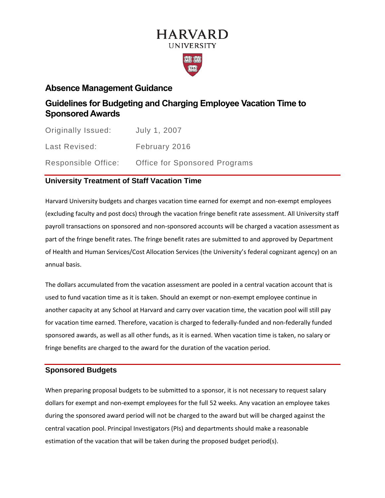# **HARVARD UNIVERSITY**

## **Absence Management Guidance**

## **Guidelines for Budgeting and Charging Employee Vacation Time to Sponsored Awards**

| Originally Issued:  | July 1, 2007                         |
|---------------------|--------------------------------------|
| Last Revised:       | February 2016                        |
| Responsible Office: | <b>Office for Sponsored Programs</b> |

## **University Treatment of Staff Vacation Time**

Harvard University budgets and charges vacation time earned for exempt and non-exempt employees (excluding faculty and post docs) through the vacation fringe benefit rate assessment. All University staff payroll transactions on sponsored and non-sponsored accounts will be charged a vacation assessment as part of the fringe benefit rates. The fringe benefit rates are submitted to and approved by Department of Health and Human Services/Cost Allocation Services (the University's federal cognizant agency) on an annual basis.

The dollars accumulated from the vacation assessment are pooled in a central vacation account that is used to fund vacation time as it is taken. Should an exempt or non-exempt employee continue in another capacity at any School at Harvard and carry over vacation time, the vacation pool will still pay for vacation time earned. Therefore, vacation is charged to federally-funded and non-federally funded sponsored awards, as well as all other funds, as it is earned. When vacation time is taken, no salary or fringe benefits are charged to the award for the duration of the vacation period.

## **Sponsored Budgets**

When preparing proposal budgets to be submitted to a sponsor, it is not necessary to request salary dollars for exempt and non-exempt employees for the full 52 weeks. Any vacation an employee takes during the sponsored award period will not be charged to the award but will be charged against the central vacation pool. Principal Investigators (PIs) and departments should make a reasonable estimation of the vacation that will be taken during the proposed budget period(s).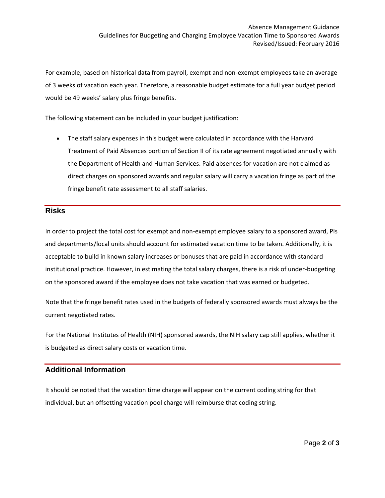For example, based on historical data from payroll, exempt and non-exempt employees take an average of 3 weeks of vacation each year. Therefore, a reasonable budget estimate for a full year budget period would be 49 weeks' salary plus fringe benefits.

The following statement can be included in your budget justification:

• The staff salary expenses in this budget were calculated in accordance with the Harvard Treatment of Paid Absences portion of Section II of its rate agreement negotiated annually with the Department of Health and Human Services. Paid absences for vacation are not claimed as direct charges on sponsored awards and regular salary will carry a vacation fringe as part of the fringe benefit rate assessment to all staff salaries.

#### **Risks**

In order to project the total cost for exempt and non-exempt employee salary to a sponsored award, PIs and departments/local units should account for estimated vacation time to be taken. Additionally, it is acceptable to build in known salary increases or bonuses that are paid in accordance with standard institutional practice. However, in estimating the total salary charges, there is a risk of under-budgeting on the sponsored award if the employee does not take vacation that was earned or budgeted.

Note that the fringe benefit rates used in the budgets of federally sponsored awards must always be the current negotiated rates.

For the National Institutes of Health (NIH) sponsored awards, the NIH salary cap still applies, whether it is budgeted as direct salary costs or vacation time.

## **Additional Information**

It should be noted that the vacation time charge will appear on the current coding string for that individual, but an offsetting vacation pool charge will reimburse that coding string.